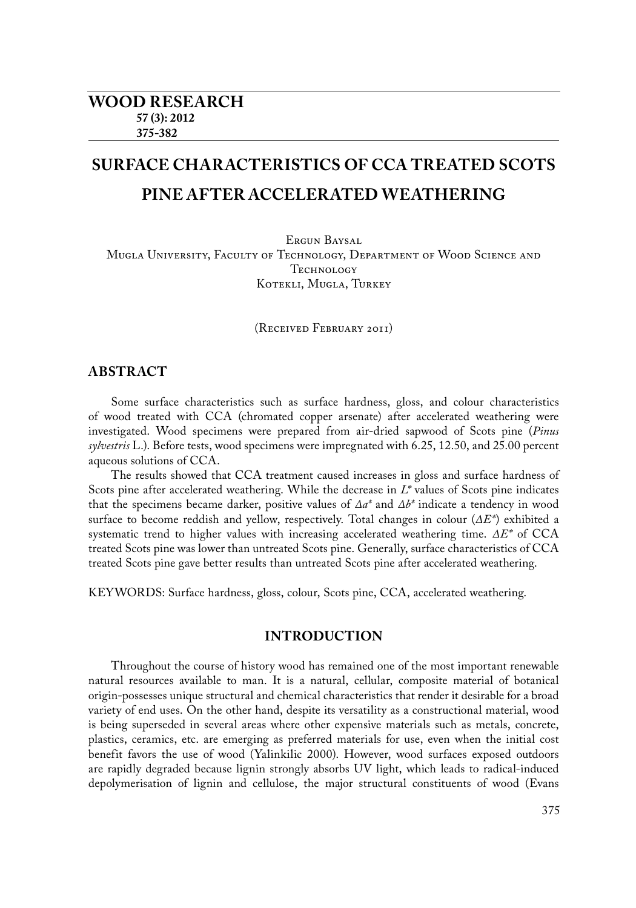# **SURFACE CHARACTERISTICS OF CCA TREATED SCOTS PINE AFTER ACCELERATED WEATHERING**

ERGUN BAYSAL Mugla University, Faculty of Technology, Department of Wood Science and TECHNOLOGY Kotekli, Mugla, Turkey

(Received February 2011)

# **ABSTRACT**

Some surface characteristics such as surface hardness, gloss, and colour characteristics of wood treated with CCA (chromated copper arsenate) after accelerated weathering were investigated. Wood specimens were prepared from air-dried sapwood of Scots pine (*Pinus sylvestris* L.). Before tests, wood specimens were impregnated with 6.25, 12.50, and 25.00 percent aqueous solutions of CCA.

The results showed that CCA treatment caused increases in gloss and surface hardness of Scots pine after accelerated weathering. While the decrease in *L\** values of Scots pine indicates that the specimens became darker, positive values of *∆a\** and *∆b\** indicate a tendency in wood surface to become reddish and yellow, respectively. Total changes in colour (*∆E\**) exhibited a systematic trend to higher values with increasing accelerated weathering time. *∆E\** of CCA treated Scots pine was lower than untreated Scots pine. Generally, surface characteristics of CCA treated Scots pine gave better results than untreated Scots pine after accelerated weathering.

KEYWORDS: Surface hardness, gloss, colour, Scots pine, CCA, accelerated weathering.

# **INTRODUCTION**

Throughout the course of history wood has remained one of the most important renewable natural resources available to man. It is a natural, cellular, composite material of botanical origin-possesses unique structural and chemical characteristics that render it desirable for a broad variety of end uses. On the other hand, despite its versatility as a constructional material, wood is being superseded in several areas where other expensive materials such as metals, concrete, plastics, ceramics, etc. are emerging as preferred materials for use, even when the initial cost benefit favors the use of wood (Yalinkilic 2000). However, wood surfaces exposed outdoors are rapidly degraded because lignin strongly absorbs UV light, which leads to radical-induced depolymerisation of lignin and cellulose, the major structural constituents of wood (Evans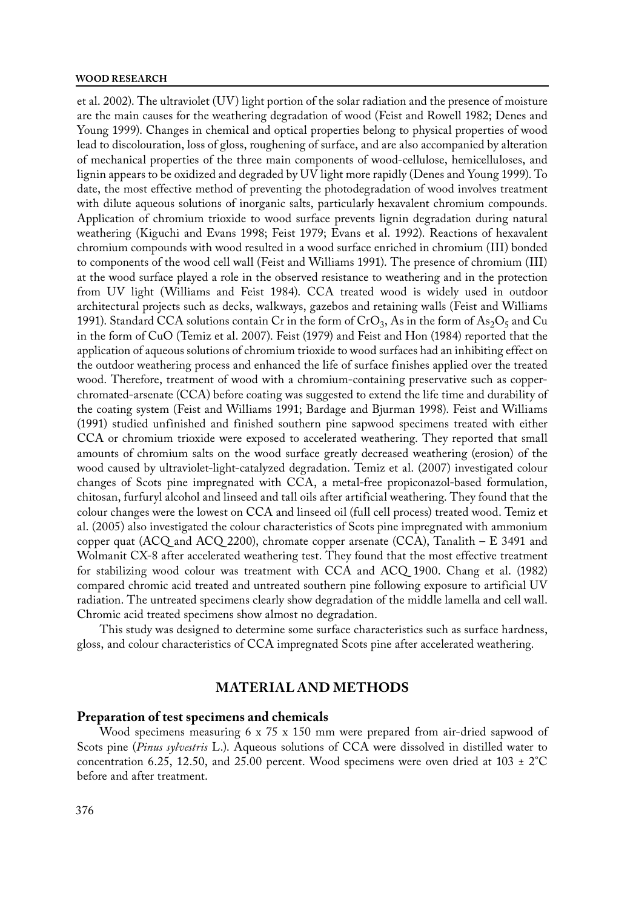#### **WOOD RESEARCH**

et al. 2002). The ultraviolet (UV) light portion of the solar radiation and the presence of moisture are the main causes for the weathering degradation of wood (Feist and Rowell 1982; Denes and Young 1999). Changes in chemical and optical properties belong to physical properties of wood lead to discolouration, loss of gloss, roughening of surface, and are also accompanied by alteration of mechanical properties of the three main components of wood-cellulose, hemicelluloses, and lignin appears to be oxidized and degraded by UV light more rapidly (Denes and Young 1999). To date, the most effective method of preventing the photodegradation of wood involves treatment with dilute aqueous solutions of inorganic salts, particularly hexavalent chromium compounds. Application of chromium trioxide to wood surface prevents lignin degradation during natural weathering (Kiguchi and Evans 1998; Feist 1979; Evans et al. 1992). Reactions of hexavalent chromium compounds with wood resulted in a wood surface enriched in chromium (III) bonded to components of the wood cell wall (Feist and Williams 1991). The presence of chromium (III) at the wood surface played a role in the observed resistance to weathering and in the protection from UV light (Williams and Feist 1984). CCA treated wood is widely used in outdoor architectural projects such as decks, walkways, gazebos and retaining walls (Feist and Williams 1991). Standard CCA solutions contain Cr in the form of  $CrO<sub>3</sub>$ , As in the form of As<sub>2</sub>O<sub>5</sub> and Cu in the form of CuO (Temiz et al. 2007). Feist (1979) and Feist and Hon (1984) reported that the application of aqueous solutions of chromium trioxide to wood surfaces had an inhibiting effect on the outdoor weathering process and enhanced the life of surface finishes applied over the treated wood. Therefore, treatment of wood with a chromium-containing preservative such as copperchromated-arsenate (CCA) before coating was suggested to extend the life time and durability of the coating system (Feist and Williams 1991; Bardage and Bjurman 1998). Feist and Williams (1991) studied unfinished and finished southern pine sapwood specimens treated with either CCA or chromium trioxide were exposed to accelerated weathering. They reported that small amounts of chromium salts on the wood surface greatly decreased weathering (erosion) of the wood caused by ultraviolet-light-catalyzed degradation. Temiz et al. (2007) investigated colour changes of Scots pine impregnated with CCA, a metal-free propiconazol-based formulation, chitosan, furfuryl alcohol and linseed and tall oils after artificial weathering. They found that the colour changes were the lowest on CCA and linseed oil (full cell process) treated wood. Temiz et al. (2005) also investigated the colour characteristics of Scots pine impregnated with ammonium copper quat (ACQ and ACQ 2200), chromate copper arsenate (CCA), Tanalith –  $E$  3491 and Wolmanit CX-8 after accelerated weathering test. They found that the most effective treatment for stabilizing wood colour was treatment with CCA and ACQ 1900. Chang et al. (1982) compared chromic acid treated and untreated southern pine following exposure to artificial UV radiation. The untreated specimens clearly show degradation of the middle lamella and cell wall. Chromic acid treated specimens show almost no degradation.

This study was designed to determine some surface characteristics such as surface hardness, gloss, and colour characteristics of CCA impregnated Scots pine after accelerated weathering.

## **MATERIAL AND METHODS**

## **Preparation of test specimens and chemicals**

Wood specimens measuring 6 x 75 x 150 mm were prepared from air-dried sapwood of Scots pine (*Pinus sylvestris* L.). Aqueous solutions of CCA were dissolved in distilled water to concentration 6.25, 12.50, and 25.00 percent. Wood specimens were oven dried at 103  $\pm$  2°C before and after treatment.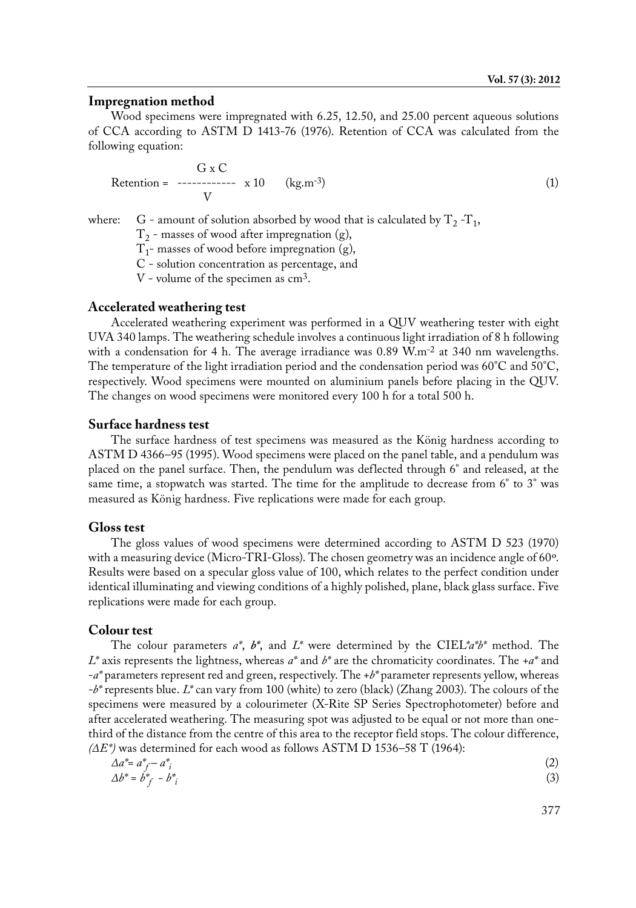#### **Impregnation method**

Wood specimens were impregnated with 6.25, 12.50, and 25.00 percent aqueous solutions of CCA according to ASTM D 1413-76 (1976). Retention of CCA was calculated from the following equation:

$$
\begin{array}{ccc}\n & G \times C & \\
\text{Retention =} & \text{---} & \text{---} & \text{---} & \text{---} & \text{---} & \text{---} & \text{---} & \text{---} & \text{---} & \text{---} & \text{---} & \text{---} & \text{---} & \text{---} & \text{---} & \text{---} & \text{---} & \text{---} & \text{---} & \text{---} & \text{---} & \text{---} & \text{---} & \text{---} & \text{---} & \text{---} & \text{---} & \text{---} & \text{---} & \text{---} & \text{---} & \text{---} & \text{---} & \text{---} & \text{---} & \text{---} & \text{---} & \text{---} & \text{---} & \text{---} & \text{---} & \text{---} & \text{---} & \text{---} & \text{---} & \text{---} & \text{---} & \text{---} & \text{---} & \text{---} & \text{---} & \text{---} & \text{---} & \text{---} & \text{---} & \text{---} & \text{---} & \text{---} & \text{---} & \text{---} & \text{---} & \text{---} & \text{---} & \text{---} & \text{---} & \text{---} & \text{---} & \text{---} & \text{---} & \text{---} & \text{---} & \text{---} & \text{---} & \text{---} & \text{---} & \text{---} & \text{---} & \text{---} & \text{---} & \text{---} & \text{---} & \text{---} & \text{---} & \text{---} & \text{---} & \text{---} & \text{---} & \text{---} & \text{---} & \text{---} & \text{---} & \text{---} & \text{---} & \text{---} & \text{---} & \text{---} & \text{---} & \text{---} & \text{---} & \text{---} & \text{---} & \text{---} & \text{---} & \text{---} & \text{---} & \text{---} & \text{---} & \text{---} & \text{---} & \text{---} & \text{---} & \text{---} & \text{---} & \text{---} & \text{---} & \text{---} & \text{---} & \text{---} & \text{---} & \text{---} & \text{---} & \text{---} & \text{---
$$

where: G - amount of solution absorbed by wood that is calculated by  $T_2 - T_1$ ,

 $T<sub>2</sub>$  - masses of wood after impregnation (g),

 $T_1$ - masses of wood before impregnation (g),

C - solution concentration as percentage, and

V - volume of the specimen as cm3.

#### **Accelerated weathering test**

Accelerated weathering experiment was performed in a QUV weathering tester with eight UVA 340 lamps. The weathering schedule involves a continuous light irradiation of 8 h following with a condensation for 4 h. The average irradiance was  $0.89 \text{ W.m}^{-2}$  at 340 nm wavelengths. The temperature of the light irradiation period and the condensation period was 60°C and 50°C, respectively. Wood specimens were mounted on aluminium panels before placing in the QUV. The changes on wood specimens were monitored every 100 h for a total 500 h.

## **Surface hardness test**

The surface hardness of test specimens was measured as the König hardness according to ASTM D 4366–95 (1995). Wood specimens were placed on the panel table, and a pendulum was placed on the panel surface. Then, the pendulum was deflected through 6° and released, at the same time, a stopwatch was started. The time for the amplitude to decrease from 6° to 3° was measured as König hardness. Five replications were made for each group.

#### **Gloss test**

The gloss values of wood specimens were determined according to ASTM D 523 (1970) with a measuring device (Micro-TRI-Gloss). The chosen geometry was an incidence angle of 60º. Results were based on a specular gloss value of 100, which relates to the perfect condition under identical illuminating and viewing conditions of a highly polished, plane, black glass surface. Five replications were made for each group.

# **Colour test**

The colour parameters *a\**, *b\**, and *L\** were determined by the CIEL*\*a\*b\** method. The *L\** axis represents the lightness, whereas *a\** and *b\** are the chromaticity coordinates. The +*a\** and -*a\** parameters represent red and green, respectively. The +*b\** parameter represents yellow, whereas -*b\** represents blue. *L\** can vary from 100 (white) to zero (black) (Zhang 2003). The colours of the specimens were measured by a colourimeter (X-Rite SP Series Spectrophotometer) before and after accelerated weathering. The measuring spot was adjusted to be equal or not more than onethird of the distance from the centre of this area to the receptor field stops. The colour difference, *(∆E\*)* was determined for each wood as follows ASTM D 1536–58 T (1964):

$$
\Delta a^* = a^*_{f} - a^*_{i}
$$
  
\n
$$
\Delta b^* = b^*_{f} - b^*_{i}
$$
\n(2)

377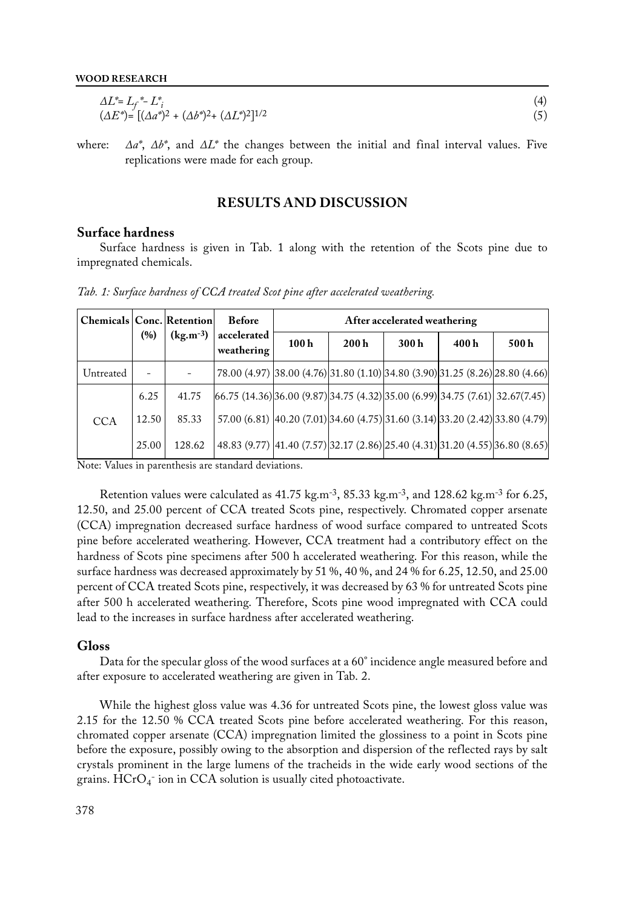| $\Delta L^* = L_f^* - L_i^*$                                              |  |
|---------------------------------------------------------------------------|--|
| $(\Delta E^*) = [(\Delta a^*)^2 + (\Delta b^*)^2 + (\Delta L^*)^2]^{1/2}$ |  |

where: *∆a\**, *∆b\**, and *∆L\** the changes between the initial and final interval values. Five replications were made for each group.

## **RESULTS AND DISCUSSION**

## **Surface hardness**

Surface hardness is given in Tab. 1 along with the retention of the Scots pine due to impregnated chemicals.

| <b>Chemicals   Conc.   Retention </b> |       |               | <b>Before</b>                                                                 | After accelerated weathering |      |      |      |      |  |  |  |  |  |  |  |  |
|---------------------------------------|-------|---------------|-------------------------------------------------------------------------------|------------------------------|------|------|------|------|--|--|--|--|--|--|--|--|
|                                       | (%)   | $(kg.m^{-3})$ | accelerated<br>weathering                                                     | 100h                         | 200h | 300h | 400h | 500h |  |  |  |  |  |  |  |  |
| Untreated                             |       |               | 78.00 (4.97) 38.00 (4.76) 31.80 (1.10) 34.80 (3.90) 31.25 (8.26) 28.80 (4.66) |                              |      |      |      |      |  |  |  |  |  |  |  |  |
|                                       | 6.25  | 41.75         | $(66.75 (14.36)36.00 (9.87)34.75 (4.32)35.00 (6.99)34.75 (7.61)32.67(7.45)$   |                              |      |      |      |      |  |  |  |  |  |  |  |  |
| <b>CCA</b>                            | 12.50 | 85.33         | 57.00 (6.81) 40.20 (7.01) 34.60 (4.75) 31.60 (3.14) 33.20 (2.42) 33.80 (4.79) |                              |      |      |      |      |  |  |  |  |  |  |  |  |
|                                       | 25.00 | 128.62        | 48.83 (9.77) 41.40 (7.57) 32.17 (2.86) 25.40 (4.31) 31.20 (4.55) 36.80 (8.65) |                              |      |      |      |      |  |  |  |  |  |  |  |  |

*Tab. 1: Surface hardness of CCA treated Scot pine after accelerated weathering.*

Note: Values in parenthesis are standard deviations.

Retention values were calculated as 41.75 kg.m-3, 85.33 kg.m-3, and 128.62 kg.m-3 for 6.25, 12.50, and 25.00 percent of CCA treated Scots pine, respectively. Chromated copper arsenate (CCA) impregnation decreased surface hardness of wood surface compared to untreated Scots pine before accelerated weathering. However, CCA treatment had a contributory effect on the hardness of Scots pine specimens after 500 h accelerated weathering. For this reason, while the surface hardness was decreased approximately by 51 %, 40 %, and 24 % for 6.25, 12.50, and 25.00 percent of CCA treated Scots pine, respectively, it was decreased by 63 % for untreated Scots pine after 500 h accelerated weathering. Therefore, Scots pine wood impregnated with CCA could lead to the increases in surface hardness after accelerated weathering.

#### **Gloss**

Data for the specular gloss of the wood surfaces at a 60° incidence angle measured before and after exposure to accelerated weathering are given in Tab. 2.

While the highest gloss value was 4.36 for untreated Scots pine, the lowest gloss value was 2.15 for the 12.50 % CCA treated Scots pine before accelerated weathering. For this reason, chromated copper arsenate (CCA) impregnation limited the glossiness to a point in Scots pine before the exposure, possibly owing to the absorption and dispersion of the reflected rays by salt crystals prominent in the large lumens of the tracheids in the wide early wood sections of the grains.  $\text{HCrO}_4^-$  ion in CCA solution is usually cited photoactivate.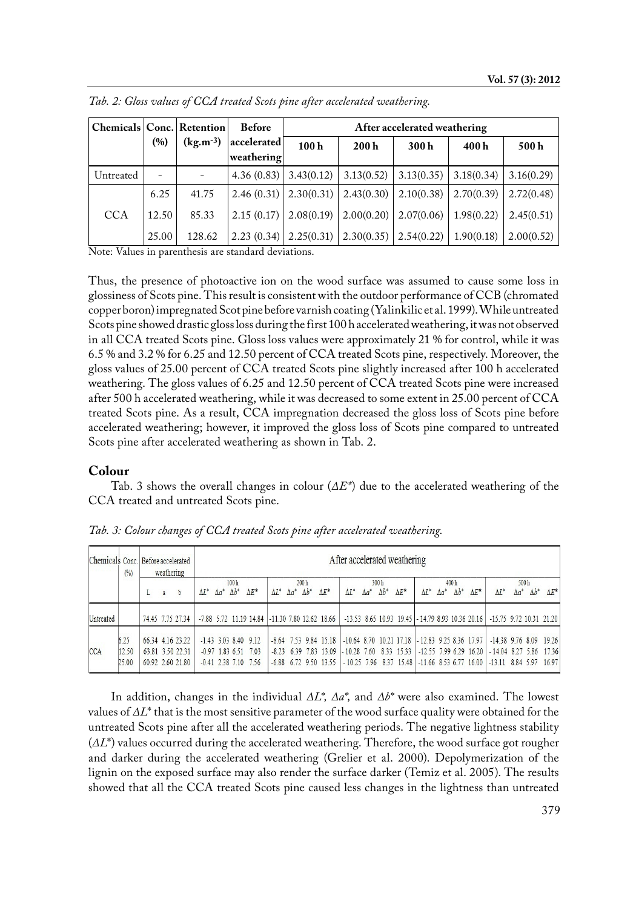| Chemicals   Conc.   Retention |                          |                          | <b>Before</b>                                          |      |                                        | After accelerated weathering |            |            |
|-------------------------------|--------------------------|--------------------------|--------------------------------------------------------|------|----------------------------------------|------------------------------|------------|------------|
|                               | (%)                      | $(kg.m^{-3})$            | accelerated<br>weathering                              | 100h | 200h                                   | 300h                         | 400h       | 500h       |
| Untreated                     | $\overline{\phantom{0}}$ |                          | $4.36(0.83)$ 3.43(0.12)                                |      | 3.13(0.52)                             | 3.13(0.35)                   | 3.18(0.34) | 3.16(0.29) |
|                               | 6.25                     | 41.75                    |                                                        |      | $2.46(0.31)$ $2.30(0.31)$ $2.43(0.30)$ | 2.10(0.38)                   | 2.70(0.39) | 2.72(0.48) |
| <b>CCA</b>                    | 12.50                    | 85.33                    | $2.15(0.17)$ 2.08(0.19)                                |      |                                        | $2.00(0.20)$   $2.07(0.06)$  | 1.98(0.22) | 2.45(0.51) |
| $\sim$ $\sim$<br>$- - -$      | 25.00                    | 128.62<br>$\blacksquare$ | $\vert 2.23 \, (0.34) \vert 2.25 \, (0.31) \vert$<br>. |      |                                        | $2.30(0.35)$   $2.54(0.22)$  | 1.90(0.18) | 2.00(0.52) |

*Tab. 2: Gloss values of CCA treated Scots pine after accelerated weathering.*

Note: Values in parenthesis are standard deviations.

Thus, the presence of photoactive ion on the wood surface was assumed to cause some loss in glossiness of Scots pine. This result is consistent with the outdoor performance of CCB (chromated copper boron) impregnated Scot pine before varnish coating (Yalinkilic et al. 1999). While untreated Scots pine showed drastic gloss loss during the first 100 h accelerated weathering, it was not observed in all CCA treated Scots pine. Gloss loss values were approximately 21 % for control, while it was 6.5 % and 3.2 % for 6.25 and 12.50 percent of CCA treated Scots pine, respectively. Moreover, the gloss values of 25.00 percent of CCA treated Scots pine slightly increased after 100 h accelerated weathering. The gloss values of 6.25 and 12.50 percent of CCA treated Scots pine were increased after 500 h accelerated weathering, while it was decreased to some extent in 25.00 percent of CCA treated Scots pine. As a result, CCA impregnation decreased the gloss loss of Scots pine before accelerated weathering; however, it improved the gloss loss of Scots pine compared to untreated Scots pine after accelerated weathering as shown in Tab. 2.

## **Colour**

Tab. 3 shows the overall changes in colour (*∆E\**) due to the accelerated weathering of the CCA treated and untreated Scots pine.

| Chemicals Conc. Before accelerated | (%)                    | weathering |                                                          | After accelerated weathering |               |                      |                                                          |               |              |                                  |                                                    |                                                                              |              |                      |               |                                                    |              |                      |              |                                                                                                                        |              |                                  |              |
|------------------------------------|------------------------|------------|----------------------------------------------------------|------------------------------|---------------|----------------------|----------------------------------------------------------|---------------|--------------|----------------------------------|----------------------------------------------------|------------------------------------------------------------------------------|--------------|----------------------|---------------|----------------------------------------------------|--------------|----------------------|--------------|------------------------------------------------------------------------------------------------------------------------|--------------|----------------------------------|--------------|
|                                    |                        | a          |                                                          | $\Delta L^*$                 | $\Lambda a^*$ | 100h<br>$\Delta b^*$ | $\Delta E^*$                                             | $\Lambda L^*$ | $\Delta a^*$ | 200 <sub>h</sub><br>$\Delta b^*$ | $\Delta E^*$                                       | $\Lambda L^*$                                                                | $\Delta a^*$ | 300h<br>$\Delta b^*$ | $\Lambda E^*$ | $\Lambda L^*$                                      | $\Delta a^*$ | 400h<br>$\Delta b^*$ | $\Delta E^*$ | $\Delta L^*$                                                                                                           | $\Delta a^*$ | 500 <sub>h</sub><br>$\Delta b^*$ | $\Delta E^*$ |
| Untreated                          |                        |            | 74.45 7.75 27.34                                         |                              |               |                      | -7.88 5.72 11.19 14.84 -11.30 7.80 12.62 18.66           |               |              |                                  |                                                    |                                                                              |              |                      |               |                                                    |              |                      |              | $-13.53$ 8.65 10.93 19.45 $-14.79$ 8.93 10.36 20.16 $-15.75$ 9.72 10.31 21.20                                          |              |                                  |              |
| <b>CCA</b>                         | 6.25<br>12.50<br>25.00 |            | 66.34 4.16 23.22<br>63.81 3.50 22.31<br>60.92 2.60 21.80 |                              |               | $-0.97$ 1.83 6.51    | $-1.43$ 3.03 8.40 9.12<br>7.03<br>$-0.41$ 2.38 7.10 7.56 |               |              |                                  | $-8.64$ 7.53 9.84 15.18<br>$-6.88$ 6.72 9.50 13.55 | $-8.23$ 6.39 7.83 13.09 $-10.28$ 7.60 8.33 15.33<br>$-10.25$ 7.96 8.37 15.48 |              |                      |               | $-10.64$ 8.70 10.21 17.18 $-12.83$ 9.25 8.36 17.97 |              |                      |              | $-14.38$ 9.76 8.09 19.26<br>$-12.55$ 7.99 6.29 16.20 $-14.04$ 8.27 5.86<br>$-11.66$ 8.53 6.77 16.00 $-13.11$ 8.84 5.97 |              |                                  | 1736<br>1697 |

*Tab. 3: Colour changes of CCA treated Scots pine after accelerated weathering.*

In addition, changes in the individual *∆L\*, ∆a\*,* and *∆b\** were also examined. The lowest values of *∆L*\* that is the most sensitive parameter of the wood surface quality were obtained for the untreated Scots pine after all the accelerated weathering periods. The negative lightness stability (*∆L*\*) values occurred during the accelerated weathering. Therefore, the wood surface got rougher and darker during the accelerated weathering (Grelier et al. 2000). Depolymerization of the lignin on the exposed surface may also render the surface darker (Temiz et al. 2005). The results showed that all the CCA treated Scots pine caused less changes in the lightness than untreated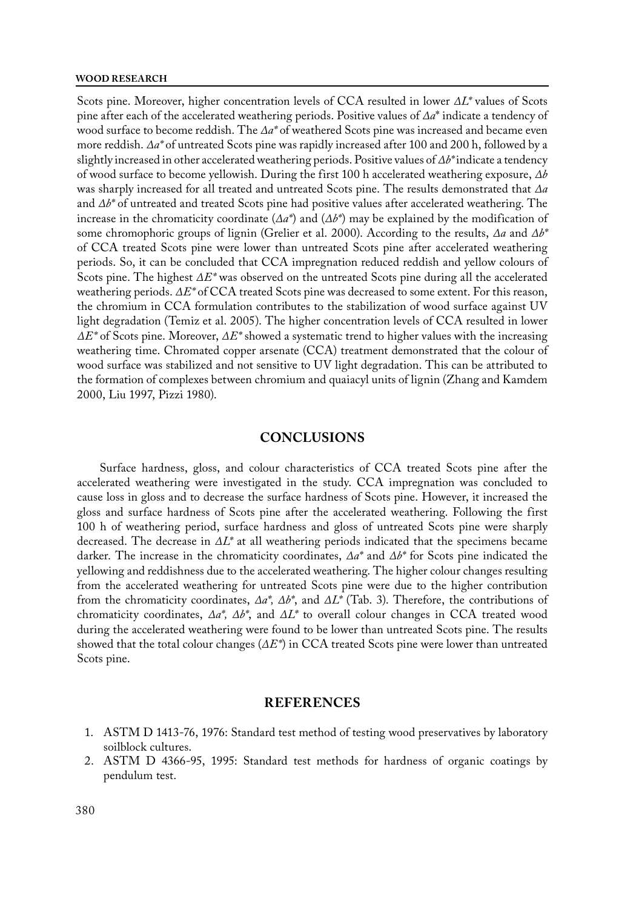#### **WOOD RESEARCH**

Scots pine. Moreover, higher concentration levels of CCA resulted in lower *∆L\** values of Scots pine after each of the accelerated weathering periods. Positive values of *∆a*\* indicate a tendency of wood surface to become reddish. The *∆a\** of weathered Scots pine was increased and became even more reddish. *∆a\** of untreated Scots pine was rapidly increased after 100 and 200 h, followed by a slightly increased in other accelerated weathering periods. Positive values of *∆b\** indicate a tendency of wood surface to become yellowish. During the first 100 h accelerated weathering exposure, *∆b* was sharply increased for all treated and untreated Scots pine. The results demonstrated that *∆a* and *∆b\** of untreated and treated Scots pine had positive values after accelerated weathering. The increase in the chromaticity coordinate (*∆a\**) and (*∆b\**) may be explained by the modification of some chromophoric groups of lignin (Grelier et al. 2000). According to the results, *∆a* and *∆b\**  of CCA treated Scots pine were lower than untreated Scots pine after accelerated weathering periods. So, it can be concluded that CCA impregnation reduced reddish and yellow colours of Scots pine. The highest *∆E\** was observed on the untreated Scots pine during all the accelerated weathering periods. *∆E\** of CCA treated Scots pine was decreased to some extent. For this reason, the chromium in CCA formulation contributes to the stabilization of wood surface against UV light degradation (Temiz et al. 2005). The higher concentration levels of CCA resulted in lower *∆E\** of Scots pine. Moreover, *∆E\** showed a systematic trend to higher values with the increasing weathering time. Chromated copper arsenate (CCA) treatment demonstrated that the colour of wood surface was stabilized and not sensitive to UV light degradation. This can be attributed to the formation of complexes between chromium and quaiacyl units of lignin (Zhang and Kamdem 2000, Liu 1997, Pizzi 1980).

## **CONCLUSIONS**

Surface hardness, gloss, and colour characteristics of CCA treated Scots pine after the accelerated weathering were investigated in the study. CCA impregnation was concluded to cause loss in gloss and to decrease the surface hardness of Scots pine. However, it increased the gloss and surface hardness of Scots pine after the accelerated weathering. Following the first 100 h of weathering period, surface hardness and gloss of untreated Scots pine were sharply decreased. The decrease in *∆L\** at all weathering periods indicated that the specimens became darker. The increase in the chromaticity coordinates, *∆a\** and *∆b\** for Scots pine indicated the yellowing and reddishness due to the accelerated weathering. The higher colour changes resulting from the accelerated weathering for untreated Scots pine were due to the higher contribution from the chromaticity coordinates, *∆a\*, ∆b\**, and *∆L\** (Tab. 3). Therefore, the contributions of chromaticity coordinates, *∆a\*, ∆b\**, and *∆L\** to overall colour changes in CCA treated wood during the accelerated weathering were found to be lower than untreated Scots pine. The results showed that the total colour changes (*∆E\**) in CCA treated Scots pine were lower than untreated Scots pine.

## **REFERENCES**

- 1. ASTM D 1413-76, 1976: Standard test method of testing wood preservatives by laboratory soilblock cultures.
- 2. ASTM D 4366-95, 1995: Standard test methods for hardness of organic coatings by pendulum test.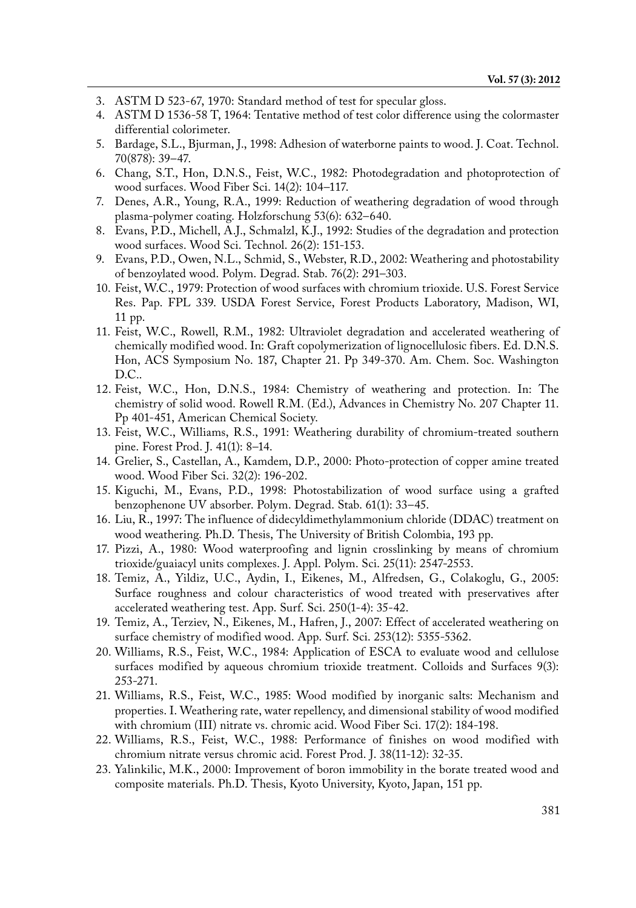- 3. ASTM D 523-67, 1970: Standard method of test for specular gloss.
- 4. ASTM D 1536-58 T, 1964: Tentative method of test color difference using the colormaster differential colorimeter.
- 5. Bardage, S.L., Bjurman, J., 1998: Adhesion of waterborne paints to wood. J. Coat. Technol. 70(878): 39–47.
- 6. Chang, S.T., Hon, D.N.S., Feist, W.C., 1982: Photodegradation and photoprotection of wood surfaces. Wood Fiber Sci. 14(2): 104–117.
- 7. Denes, A.R., Young, R.A., 1999: Reduction of weathering degradation of wood through plasma-polymer coating. Holzforschung 53(6): 632–640.
- 8. Evans, P.D., Michell, A.J., Schmalzl, K.J., 1992: Studies of the degradation and protection wood surfaces. Wood Sci. Technol. 26(2): 151-153.
- 9. Evans, P.D., Owen, N.L., Schmid, S., Webster, R.D., 2002: Weathering and photostability of benzoylated wood. Polym. Degrad. Stab. 76(2): 291–303.
- 10. Feist, W.C., 1979: Protection of wood surfaces with chromium trioxide. U.S. Forest Service Res. Pap. FPL 339. USDA Forest Service, Forest Products Laboratory, Madison, WI, 11 pp.
- 11. Feist, W.C., Rowell, R.M., 1982: Ultraviolet degradation and accelerated weathering of chemically modified wood. In: Graft copolymerization of lignocellulosic fibers. Ed. D.N.S. Hon, ACS Symposium No. 187, Chapter 21. Pp 349-370. Am. Chem. Soc. Washington D.C..
- 12. Feist, W.C., Hon, D.N.S., 1984: Chemistry of weathering and protection. In: The chemistry of solid wood. Rowell R.M. (Ed.), Advances in Chemistry No. 207 Chapter 11. Pp 401-451, American Chemical Society.
- 13. Feist, W.C., Williams, R.S., 1991: Weathering durability of chromium-treated southern pine. Forest Prod. J. 41(1): 8–14.
- 14. Grelier, S., Castellan, A., Kamdem, D.P., 2000: Photo-protection of copper amine treated wood. Wood Fiber Sci. 32(2): 196-202.
- 15. Kiguchi, M., Evans, P.D., 1998: Photostabilization of wood surface using a grafted benzophenone UV absorber. Polym. Degrad. Stab. 61(1): 33–45.
- 16. Liu, R., 1997: The influence of didecyldimethylammonium chloride (DDAC) treatment on wood weathering. Ph.D. Thesis, The University of British Colombia, 193 pp.
- 17. Pizzi, A., 1980: Wood waterproofing and lignin crosslinking by means of chromium trioxide/guaiacyl units complexes. J. Appl. Polym. Sci. 25(11): 2547-2553.
- 18. Temiz, A., Yildiz, U.C., Aydin, I., Eikenes, M., Alfredsen, G., Colakoglu, G., 2005: Surface roughness and colour characteristics of wood treated with preservatives after accelerated weathering test. App. Surf. Sci. 250(1-4): 35-42.
- 19. Temiz, A., Terziev, N., Eikenes, M., Hafren, J., 2007: Effect of accelerated weathering on surface chemistry of modified wood. App. Surf. Sci. 253(12): 5355-5362.
- 20. Williams, R.S., Feist, W.C., 1984: Application of ESCA to evaluate wood and cellulose surfaces modified by aqueous chromium trioxide treatment. Colloids and Surfaces 9(3): 253-271.
- 21. Williams, R.S., Feist, W.C., 1985: Wood modified by inorganic salts: Mechanism and properties. I. Weathering rate, water repellency, and dimensional stability of wood modified with chromium (III) nitrate vs. chromic acid. Wood Fiber Sci. 17(2): 184-198.
- 22. Williams, R.S., Feist, W.C., 1988: Performance of finishes on wood modified with chromium nitrate versus chromic acid. Forest Prod. J. 38(11-12): 32-35.
- 23. Yalinkilic, M.K., 2000: Improvement of boron immobility in the borate treated wood and composite materials. Ph.D. Thesis, Kyoto University, Kyoto, Japan, 151 pp.